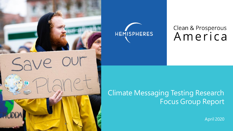



## Clean & Prosperous America

## Climate Messaging Testing Research Focus Group Report

April 2020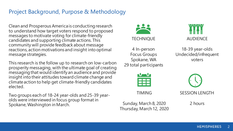#### Project Background, Purpose & Methodology

Clean and Prosperous America is conducting research to understand how target voters respond to proposed messages to motivate voting for climate-friendly candidates and supporting climate actions. This community will provide feedback about message reactions, action motivations and insight into optimal message strategies.

This research is the follow up to research on low-carbon prosperity messaging, with the ultimate goal of creating messaging that would identify an audience and provide insight into their attitudes toward climate change and climate action to help get climate-friendly candidates elected.

Two groups each of 18-24 year-olds and 25-39 yearolds were interviewed in focus group format in Spokane, Washington in March.



4 In-person Focus Groups Spokane, WA 29 total participants AUDIENCE

18-39 year-olds Undecided/infrequent voters

TIMING

Sunday, March 8, 2020 Thursday, March 12, 2020 SESSION LENGTH

2 hours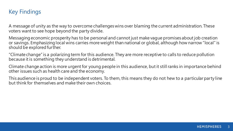#### Key Findings

A message of unity as the way to overcome challenges wins over blaming the current administration. These voters want to see hope beyond the party divide.

Messaging economic prosperity has to be personal and cannot just make vague promises about job creation or savings. Emphasizing local wins carries more weight than national or global, although how narrow "local" is should be explored further.

"Climate change" is a polarizing term for this audience. They are more receptive to calls to reduce pollution because it is something they understand is detrimental.

Climate change action is more urgent for young people in this audience, but it still ranks in importance behind other issues such as health care and the economy.

This audience is proud to be independent voters. To them, this means they do not hew to a particular party line but think for themselves and make their own choices.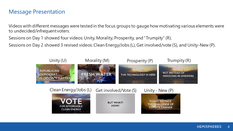#### Message Presentation

Videos with different messages were tested in the focus groups to gauge how motivating various elements were to undecided/infrequent voters.

Sessions on Day 1 showed four videos: Unity, Morality, Prosperity, and "Trumpity" (R).

Sessions on Day 2 showed 3 revised videos: Clean Energy/Jobs (L), Get involved/vote (S), and Unity-New (P).

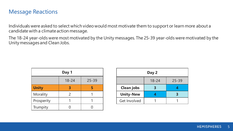#### Message Reactions

Individuals were asked to select which video would most motivate them to support or learn more about a candidate with a climate action message.

The 18-24 year-olds were most motivated by the Unity messages. The 25-39 year-olds were motivated by the Unity messages and Clean Jobs.

| Day 1        |               |           |  |
|--------------|---------------|-----------|--|
|              | $18 - 24$     | $25 - 39$ |  |
| <b>Unity</b> | 3             |           |  |
| Morality     | $\mathcal{P}$ |           |  |
| Prosperity   |               |           |  |
| Trumpity     |               |           |  |

| Day 2               |           |           |  |
|---------------------|-----------|-----------|--|
|                     | $18 - 24$ | $25 - 39$ |  |
| <b>Clean jobs</b>   |           |           |  |
| <b>Unity-New</b>    |           |           |  |
| <b>Get Involved</b> |           |           |  |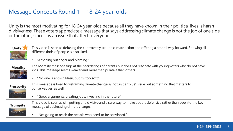#### Message Concepts Round 1 – 18-24 year-olds

Unity is the most motivating for 18-24 year-olds because all they have known in their political lives is harsh divisiveness. These voters appreciate a message that says addressing climate change is not the job of one side or the other, since it is an issue that affects everyone.

| <b>Unity</b><br>REPUBLICAN.<br>DEMOGRAT.<br><b>T DOESN'T MATT</b> | This video is seen as defusing the controversy around climate action and offering a neutral way forward. Showing all<br>different kinds of people is also liked.<br>"Anything but anger and blaming."                                                |
|-------------------------------------------------------------------|------------------------------------------------------------------------------------------------------------------------------------------------------------------------------------------------------------------------------------------------------|
| <b>Morality</b><br>FRESH WATER                                    | The Morality message tugs at the heartstrings of parents but does not resonate with young voters who do not have<br>kids. This message seems weaker and more manipulative than others.<br>"No one is anti-children, but it's too soft."<br>$\bullet$ |
| <b>Prosperity</b><br>HE TECHNOLOGY IS !                           | This message is liked for reframing climate change as not just a "blue" issue but something that matters to<br>conservatives, as well.<br>"Good arguments: creating jobs, investing in the future."<br>$\bullet$                                     |
| <b>Trumpity</b>                                                   | This video is seen as off-putting and divisive and a sure way to make people defensive rather than open to the key<br>message of addressing climate change.<br>"Not going to reach the people who need to be convinced."                             |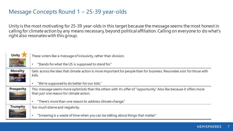#### Message Concepts Round 1 – 25-39 year-olds

Unity is the most motivating for 25-39 year-olds in this target because the message seems the most honest in calling for climate action by any means necessary, beyond political affiliation. Calling on everyone to do what's right also resonates with this group.

| <b>Unity</b>                                   | These voters like a message of inclusivity, rather than division.                                                                                                 |
|------------------------------------------------|-------------------------------------------------------------------------------------------------------------------------------------------------------------------|
| REPUBLICAN.<br>DEMOGRAT.<br><b>DESN'T MATT</b> | "Stands for what the US is supposed to stand for."<br>$\bullet$                                                                                                   |
| <b>Morality</b><br><b>ESH WATER</b>            | Gets across the idea that climate action is more important for people than for business. Resonates a lot for those with<br>kids.                                  |
|                                                | "We're supposed to do better for our kids."<br>$\bullet$                                                                                                          |
| <b>Prosperity</b><br>THE TECHNOLOGY IS HE      | This message seems more optimistic than the others with it's offer of "opportunity." Also like because it offers more<br>than just one reason for climate action. |
|                                                | "There's more than one reason to address climate change."<br>$\bullet$                                                                                            |
| <b>Trumpity</b>                                | Too much blame and negativity.                                                                                                                                    |
| <b>BUT INSTEAD OF</b>                          | "Smearing is a waste of time when you can be talking about things that matter."<br>$\bullet$                                                                      |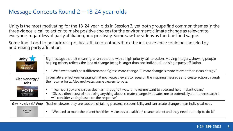#### Message Concepts Round 2 – 18-24 year-olds

Unity is the most motivating for the 18-24 year-olds in Session 3, yet both groups find common themes in the three videos: a call to action to make positive choices for the environment; climate change as relevant to everyone, regardless of party affiliation, and positivity. Some saw the videos as too brief and vague.

Some find it odd to not address political affiliation; others think the inclusive voice could be canceled by addressing party affiliation.

| <b>Unity</b><br><b>TODAY WE FACE</b><br>THE CHALLENCE OF<br><b>CLIMATE CHANGE</b> | Big message that felt meaningful, unique, and with a high priority call to action. Moving imagery, showing people<br>helping others, reflects the idea of change being is larger than one individual and single party affiliation.<br>"We have to work past differences to fight climate change. Climate change is more relevant than clean energy." |
|-----------------------------------------------------------------------------------|------------------------------------------------------------------------------------------------------------------------------------------------------------------------------------------------------------------------------------------------------------------------------------------------------------------------------------------------------|
| Clean energy /<br><b>Jobs</b>                                                     | Informative, effective messaging that motivates viewers to research the inspiring message and create action through<br>their own efforts. Also motivates some viewers to vote.                                                                                                                                                                       |
| <b>VOTE</b><br>FOR AFFORDABLE<br><b>CLEAN ENERGY</b>                              | "I learned Spokane isn't as clean as I thought it was. It makes me want to vote and help make it clean."<br>"Gives a direct cost of not doing anything about climate change. Motivates me to potentially do more research. I<br>will consider voting based on the response."                                                                         |
| <b>Get involved / Vote</b>                                                        | Teaches viewers they are capable of taking personal responsibility and can create change on an individual level.                                                                                                                                                                                                                                     |
| <b>BUT WHAT?</b><br>HOW?                                                          | "We need to make the planet healthier. Make this a healthier/ cleaner planet and they need our help to do it."                                                                                                                                                                                                                                       |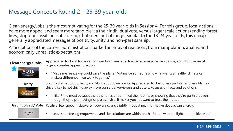#### Message Concepts Round 2 – 25-39 year-olds

Clean energy/Jobs is the most motivating for the 25-39 year-olds in Session 4. For this group, local actions have more appeal and seem more tangible via their individual vote, versus larger scale actions (ending forest fires, stopping fossil fuel subsidizing) that seem out of range. Similar to the 18-24 year-olds, this group generally appreciated messages of positivity, unity, and non-partisanship.

Articulations of the current administration sparked an array of reactions, from manipulation, apathy, and economically unrealistic expectations.

| <b>Clean energy / Jobs</b><br>CLEAN ENERGY                                        | Appreciated for local focus yet non-partisan message directed at everyone. Persuasive, and slight sense of<br>urgency creates appeal to action.<br>"Made me realize we could save the planet. Voting for someone who what wants a healthy climate can<br>make a difference if we work together."                                                                                                                                        |
|-----------------------------------------------------------------------------------|-----------------------------------------------------------------------------------------------------------------------------------------------------------------------------------------------------------------------------------------------------------------------------------------------------------------------------------------------------------------------------------------------------------------------------------------|
| <b>Unity</b><br><b>TODAY WE FACE</b><br>THE CHALLENGE OF<br><b>CLIMATE CHANGE</b> | Slightly dramatic, dogmatic, and blunt about pain points. Appreciated for being less partisan and less blame-<br>driven, key to not driving away more conservative viewers and voters. Focuses on facts and solutions.<br>I like P the most because the other ones undermined their points by showing that they're partisan, even<br>$\bullet$<br>though they're promoting nonpartisanship. It makes you not want to trust the matter." |
| <b>Get involved / Vote</b><br><b>BUT WHAT?</b><br>HOW?                            | Positive, feel-good, inclusive, empowering, and slightly motivating. Informative about clean energy.<br>"Leaves me feeling empowered and like solutions are within reach. Unique with the light and positive vibe."                                                                                                                                                                                                                     |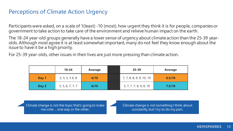#### Perceptions of Climate Action Urgency

Participants were asked, on a scale of 1(least) -10 (most), how urgent they think it is for people, companies or government to take action to take care of the environment and relieve human impact on the earth.

The 18-24 year-old groups generally have a lower sense of urgency about climate action than the 25-39 yearolds. Although most agree it is at least somewhat important, many do not feel they know enough about the issue to have it be a high priority.

For 25-39 year-olds, other issues in their lives are just more pressing than climate action.

|       | $18 - 24$        | Average | $25 - 39$                | <b>Average</b> |
|-------|------------------|---------|--------------------------|----------------|
| Day 1 | 2, 5, 5, 5, 6, 8 | 4/10    | 7, 7, 8, 8, 9, 9, 10, 10 | 8.5/10         |
| Day 2 | 5, 5, 6, 7, 7, 7 | 6/10    | 3, 7, 7, 7, 8, 9, 9, 10  | 7.5/10         |

Climate change is not the topic that's going to make me vote ... one way or the other.

Climate change is not something I think about constantly, but I try to do my part.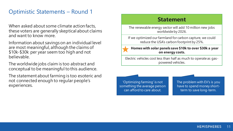#### Optimistic Statements – Round 1

When asked about some climate action facts, these voters are generally skeptical about claims and want to know more.

Information about savings on an individual level are most meaningful, although the claims of \$10k-\$30k per year seem too high and not believable.

The worldwide jobs claim is too abstract and conceptual to be meaningful to this audience.

The statement about farming is too esoteric and not connected enough to regular people's experiences.

#### **Statement**

The renewable energy sector will add 10 million new jobs worldwide by 2026.

If we optimized our farmland for carbon capture, we could reduce the USA's carbon footprint by 25%.

**Homes with solar panels save \$10k to over \$30k a year on energy costs.**

Electric vehicles cost less than half as much to operate as gaspowered vehicles.

'Optimizing farming' is not something the average person can afford to care about.

The problem with EV's is you have to spend money shortterm to save long-term.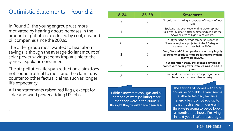#### Optimistic Statements – Round 2

In Round 2, the younger group was more motivated by hearing about increases in the amount of pollution produced by coal, gas, and oil companies since the 2000s.

The older group most wanted to hear about savings, although the average dollar amount of solar power savings seems implausible to the general Spokane consumer.

The air pollution life span reduction claim does not sound truthful to most and the claim runs counter to other factual claims, such as longer life expectancy.

All the statements raised red flags, except for solar and wind power adding US jobs.

.

| $18 - 24$     | $25 - 39$ | <b>Statement</b>                                                                                                                            |
|---------------|-----------|---------------------------------------------------------------------------------------------------------------------------------------------|
| 3             |           | Air pollution is taking an average of 3 years off our<br>lives.                                                                             |
|               |           | Spokane has been experiencing wetter springs,<br>followed by drier, hotter summers which puts the<br>Spokane area at high risk of wildfire. |
|               |           | In 50 years the average temperature for the<br>Spokane region is projected to be 9.5 degrees<br>warmer than it was before 2000.             |
| 8             |           | Coal, Gas and Oil companies are actually legally<br>allowed to produce more pollution today than<br>they were in 2000.                      |
| $\mathcal{P}$ |           | In Washington State, the average savings of<br>homes with solar power installed was \$10,483 a<br>year.                                     |
|               |           | Solar and wind power are adding US jobs at a<br>faster rate than any other industry.                                                        |

I didn't know that coal, gas and oil companies were polluting more than they were in the 2000s. I thought they would have been less.

The savings of homes with solar power being \$10k+ a year seems a little farfetched, because energy bills do not add up to that much a year in general. I think we're going to be 60 bucks a month at the house I'm living in next year. That's the average.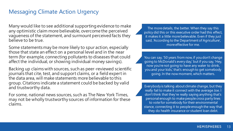#### Messaging Climate Action Urgency

Many would like to see additional supporting evidence to make any optimistic claim more believable, overcome the perceived vagueness of the statement, and surmount perceived facts they believe to be true.

Some statements may be more likely to spur action, especially those that state an effect on a personal level and in the near term (for example, connecting pollutants to diseases that could affect the individual, or showing individual money savings).

Backing up claims with sources, such as peer-reviewed scientific journals that cite, test, and support claims, or a field expert in the data area, will make statements more believable to this group. Citations indicate a statement could be backed by valid and trustworthy data.

For some, national news sources, such as The New York Times, may not be wholly trustworthy sources of information for these claims.

The more details, the better. When they say this policy did this or this executive order had this effect, it makes it a little more believable. Even if they just said, 'According to the Department of Agriculture', more effective for me.

You can say, '50 years from now, if you don't change going to McDonald's every day,' but if you say, 'Hey, now you're not going to have any water to drink, you and your kids,' that's enough to get somebody going. In the now moment, which matters.

Everybody is talking about climate change, but they really fail to make it connect with the average Joe. I don't think that they're really saying anything that's personal enough to make people cross party lines to vote for somebody for their environmental stance, connecting it to people enough the way that they do health insurance or student loan debt.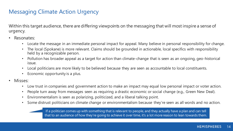#### Messaging Climate Action Urgency

Within this target audience, there are differing viewpoints on the messaging that will most inspire a sense of urgency.

- Resonates:
	- Locate the message in an immediate personal impact for appeal. Many believe in personal responsibility for change.
	- The local (Spokane) is more relevant. Claims should be grounded in actionable, local specifics with responsibility held by a recognizable person.
	- Pollution has broader appeal as a target for action than climate-change that is seen as an ongoing, geo-historical issue.
	- Local politicians are more likely to be believed because they are seen as accountable to local constituents.
	- Economic opportunity is a plus.
- Misses:
	- Low trust in companies and government action to make an impact may equal low personal impact or voter action.
	- People turn away from messages seen as requiring a drastic economic or social change (e.g., Green New Deal).
	- Environmentalism is seen as polarizing, politicized, and a liberal talking point.
	- Some distrust politicians on climate change or environmentalism because they're seen as all words and no action.

If a politician comes up with something that is relevant to people, and they actually have a plan and can tell that to an audience of how they're going to achieve it over time, it's a lot more reason to lean towards them.